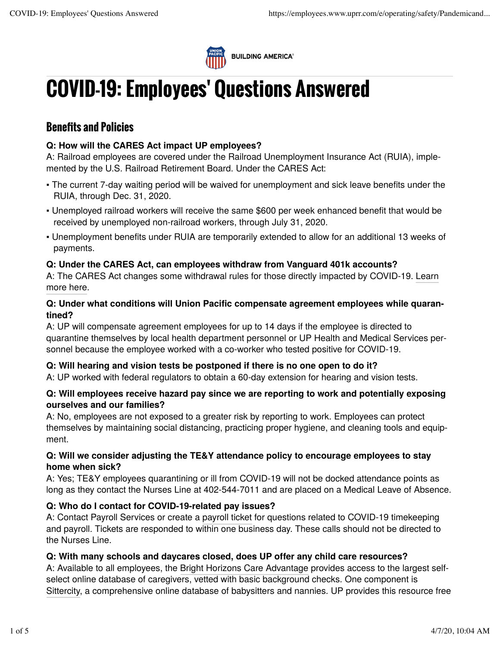

**BUILDING AMERICA®** 

# **COVID-19: Employees' Questions Answered**

# **Benefits and Policies**

# **Q: How will the CARES Act impact UP employees?**

A: Railroad employees are covered under the Railroad Unemployment Insurance Act (RUIA), imple‐ mented by the U.S. Railroad Retirement Board. Under the CARES Act:

- The current 7-day waiting period will be waived for unemployment and sick leave benefits under the RUIA, through Dec. 31, 2020.
- Unemployed railroad workers will receive the same \$600 per week enhanced benefit that would be received by unemployed non-railroad workers, through July 31, 2020.
- Unemployment benefits under RUIA are temporarily extended to allow for an additional 13 weeks of payments.

# **Q: Under the CARES Act, can employees withdraw from Vanguard 401k accounts?**

A: The CARES Act changes some withdrawal rules for those directly impacted by COVID-19. Learn more here.

#### **Q: Under what conditions will Union Pacific compensate agreement employees while quaran‐ tined?**

A: UP will compensate agreement employees for up to 14 days if the employee is directed to quarantine themselves by local health department personnel or UP Health and Medical Services per‐ sonnel because the employee worked with a co-worker who tested positive for COVID-19.

# **Q: Will hearing and vision tests be postponed if there is no one open to do it?**

A: UP worked with federal regulators to obtain a 60-day extension for hearing and vision tests.

# **Q: Will employees receive hazard pay since we are reporting to work and potentially exposing ourselves and our families?**

A: No, employees are not exposed to a greater risk by reporting to work. Employees can protect themselves by maintaining social distancing, practicing proper hygiene, and cleaning tools and equip‐ ment.

# **Q: Will we consider adjusting the TE&Y attendance policy to encourage employees to stay home when sick?**

A: Yes; TE&Y employees quarantining or ill from COVID-19 will not be docked attendance points as long as they contact the Nurses Line at 402-544-7011 and are placed on a Medical Leave of Absence.

# **Q: Who do I contact for COVID-19-related pay issues?**

A: Contact Payroll Services or create a payroll ticket for questions related to COVID-19 timekeeping and payroll. Tickets are responded to within one business day. These calls should not be directed to the Nurses Line.

# **Q: With many schools and daycares closed, does UP offer any child care resources?**

A: Available to all employees, the Bright Horizons Care Advantage provides access to the largest selfselect online database of caregivers, vetted with basic background checks. One component is Sittercity, a comprehensive online database of babysitters and nannies. UP provides this resource free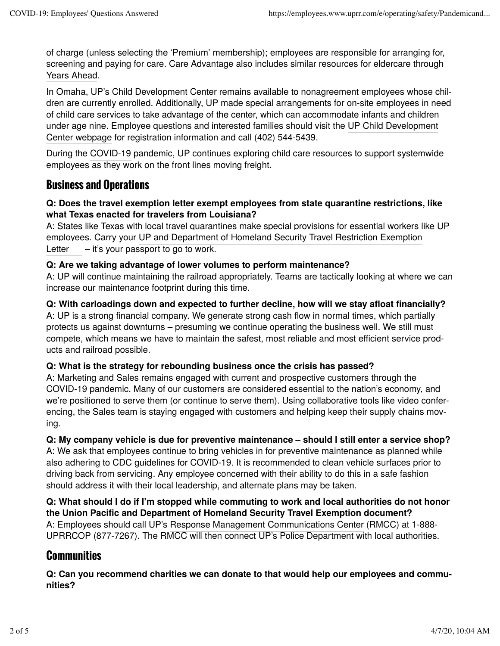of charge (unless selecting the 'Premium' membership); employees are responsible for arranging for, screening and paying for care. Care Advantage also includes similar resources for eldercare through Years Ahead.

In Omaha, UP's Child Development Center remains available to nonagreement employees whose chil‐ dren are currently enrolled. Additionally, UP made special arrangements for on-site employees in need of child care services to take advantage of the center, which can accommodate infants and children under age nine. Employee questions and interested families should visit the UP Child Development Center webpage for registration information and call (402) 544-5439.

During the COVID-19 pandemic, UP continues exploring child care resources to support systemwide employees as they work on the front lines moving freight.

# **Business and Operations**

# **Q: Does the travel exemption letter exempt employees from state quarantine restrictions, like what Texas enacted for travelers from Louisiana?**

A: States like Texas with local travel quarantines make special provisions for essential workers like UP employees. Carry your UP and Department of Homeland Security Travel Restriction Exemption Letter  $-$  it's your passport to go to work.

# **Q: Are we taking advantage of lower volumes to perform maintenance?**

A: UP will continue maintaining the railroad appropriately. Teams are tactically looking at where we can increase our maintenance footprint during this time.

# **Q: With carloadings down and expected to further decline, how will we stay afloat financially?**

A: UP is a strong financial company. We generate strong cash flow in normal times, which partially protects us against downturns – presuming we continue operating the business well. We still must compete, which means we have to maintain the safest, most reliable and most efficient service prod‐ ucts and railroad possible.

# **Q: What is the strategy for rebounding business once the crisis has passed?**

A: Marketing and Sales remains engaged with current and prospective customers through the COVID-19 pandemic. Many of our customers are considered essential to the nation's economy, and we're positioned to serve them (or continue to serve them). Using collaborative tools like video conferencing, the Sales team is staying engaged with customers and helping keep their supply chains moving.

# **Q: My company vehicle is due for preventive maintenance – should I still enter a service shop?**

A: We ask that employees continue to bring vehicles in for preventive maintenance as planned while also adhering to CDC guidelines for COVID-19. It is recommended to clean vehicle surfaces prior to driving back from servicing. Any employee concerned with their ability to do this in a safe fashion should address it with their local leadership, and alternate plans may be taken.

#### **Q: What should I do if I'm stopped while commuting to work and local authorities do not honor the Union Pacific and Department of Homeland Security Travel Exemption document?**

A: Employees should call UP's Response Management Communications Center (RMCC) at 1-888- UPRRCOP (877-7267). The RMCC will then connect UP's Police Department with local authorities.

# **Communities**

**Q: Can you recommend charities we can donate to that would help our employees and commu‐ nities?**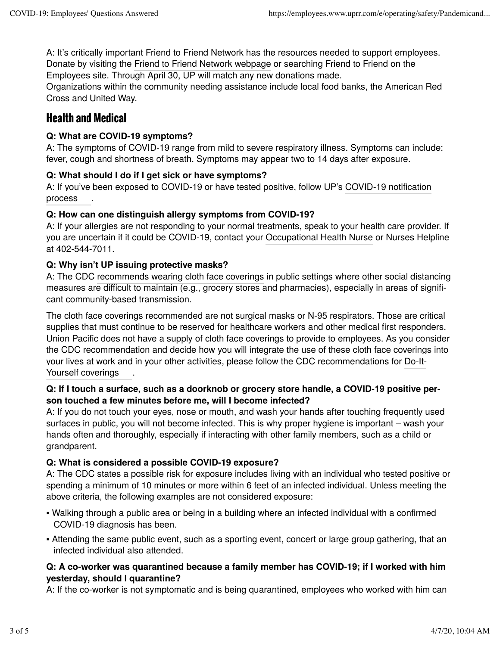A: It's critically important Friend to Friend Network has the resources needed to support employees. Donate by visiting the Friend to Friend Network webpage or searching Friend to Friend on the Employees site. Through April 30, UP will match any new donations made.

Organizations within the community needing assistance include local food banks, the American Red Cross and United Way.

# **Health and Medical**

# **Q: What are COVID-19 symptoms?**

A: The symptoms of COVID-19 range from mild to severe respiratory illness. Symptoms can include: fever, cough and shortness of breath. Symptoms may appear two to 14 days after exposure.

# **Q: What should I do if I get sick or have symptoms?**

A: If you've been exposed to COVID-19 or have tested positive, follow UP's COVID-19 notification process .

# **Q: How can one distinguish allergy symptoms from COVID-19?**

A: If your allergies are not responding to your normal treatments, speak to your health care provider. If you are uncertain if it could be COVID-19, contact your Occupational Health Nurse or Nurses Helpline at 402-544-7011.

# **Q: Why isn't UP issuing protective masks?**

A: The CDC recommends wearing cloth face coverings in public settings where other social distancing measures are difficult to maintain (e.g., grocery stores and pharmacies), especially in areas of signifi‐ cant community-based transmission.

The cloth face coverings recommended are not surgical masks or N-95 respirators. Those are critical supplies that must continue to be reserved for healthcare workers and other medical first responders. Union Pacific does not have a supply of cloth face coverings to provide to employees. As you consider the CDC recommendation and decide how you will integrate the use of these cloth face coverings into your lives at work and in your other activities, please follow the CDC recommendations for Do-It-Yourself coverings .

# **Q: If I touch a surface, such as a doorknob or grocery store handle, a COVID-19 positive per‐ son touched a few minutes before me, will I become infected?**

A: If you do not touch your eyes, nose or mouth, and wash your hands after touching frequently used surfaces in public, you will not become infected. This is why proper hygiene is important – wash your hands often and thoroughly, especially if interacting with other family members, such as a child or grandparent.

# **Q: What is considered a possible COVID-19 exposure?**

A: The CDC states a possible risk for exposure includes living with an individual who tested positive or spending a minimum of 10 minutes or more within 6 feet of an infected individual. Unless meeting the above criteria, the following examples are not considered exposure:

- Walking through a public area or being in a building where an infected individual with a confirmed COVID-19 diagnosis has been.
- Attending the same public event, such as a sporting event, concert or large group gathering, that an infected individual also attended.

# **Q: A co-worker was quarantined because a family member has COVID-19; if I worked with him yesterday, should I quarantine?**

A: If the co-worker is not symptomatic and is being quarantined, employees who worked with him can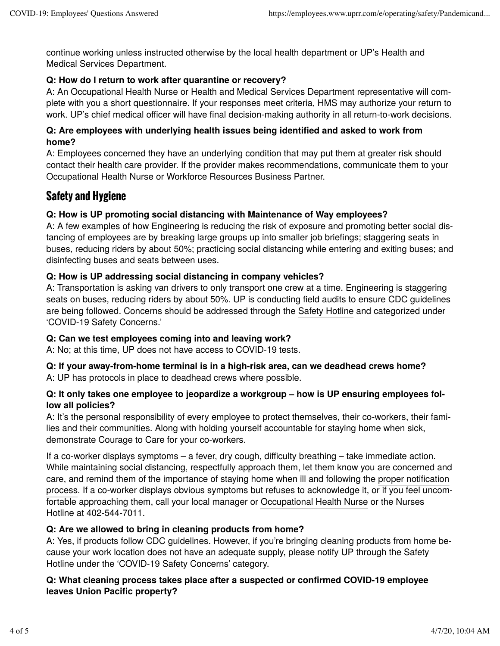continue working unless instructed otherwise by the local health department or UP's Health and Medical Services Department.

# **Q: How do I return to work after quarantine or recovery?**

A: An Occupational Health Nurse or Health and Medical Services Department representative will com‐ plete with you a short questionnaire. If your responses meet criteria, HMS may authorize your return to work. UP's chief medical officer will have final decision-making authority in all return-to-work decisions.

# **Q: Are employees with underlying health issues being identified and asked to work from home?**

A: Employees concerned they have an underlying condition that may put them at greater risk should contact their health care provider. If the provider makes recommendations, communicate them to your Occupational Health Nurse or Workforce Resources Business Partner.

# **Safety and Hygiene**

# **Q: How is UP promoting social distancing with Maintenance of Way employees?**

A: A few examples of how Engineering is reducing the risk of exposure and promoting better social dis‐ tancing of employees are by breaking large groups up into smaller job briefings; staggering seats in buses, reducing riders by about 50%; practicing social distancing while entering and exiting buses; and disinfecting buses and seats between uses.

# **Q: How is UP addressing social distancing in company vehicles?**

A: Transportation is asking van drivers to only transport one crew at a time. Engineering is staggering seats on buses, reducing riders by about 50%. UP is conducting field audits to ensure CDC guidelines are being followed. Concerns should be addressed through the Safety Hotline and categorized under 'COVID-19 Safety Concerns.'

# **Q: Can we test employees coming into and leaving work?**

A: No; at this time, UP does not have access to COVID-19 tests.

#### **Q: If your away-from-home terminal is in a high-risk area, can we deadhead crews home?** A: UP has protocols in place to deadhead crews where possible.

#### **Q: It only takes one employee to jeopardize a workgroup – how is UP ensuring employees fol‐ low all policies?**

A: It's the personal responsibility of every employee to protect themselves, their co-workers, their fami‐ lies and their communities. Along with holding yourself accountable for staying home when sick, demonstrate Courage to Care for your co-workers.

If a co-worker displays symptoms – a fever, dry cough, difficulty breathing – take immediate action. While maintaining social distancing, respectfully approach them, let them know you are concerned and care, and remind them of the importance of staying home when ill and following the proper notification process. If a co-worker displays obvious symptoms but refuses to acknowledge it, or if you feel uncom‐ fortable approaching them, call your local manager or Occupational Health Nurse or the Nurses Hotline at 402-544-7011.

# **Q: Are we allowed to bring in cleaning products from home?**

A: Yes, if products follow CDC guidelines. However, if you're bringing cleaning products from home be‐ cause your work location does not have an adequate supply, please notify UP through the Safety Hotline under the 'COVID-19 Safety Concerns' category.

# **Q: What cleaning process takes place after a suspected or confirmed COVID-19 employee leaves Union Pacific property?**